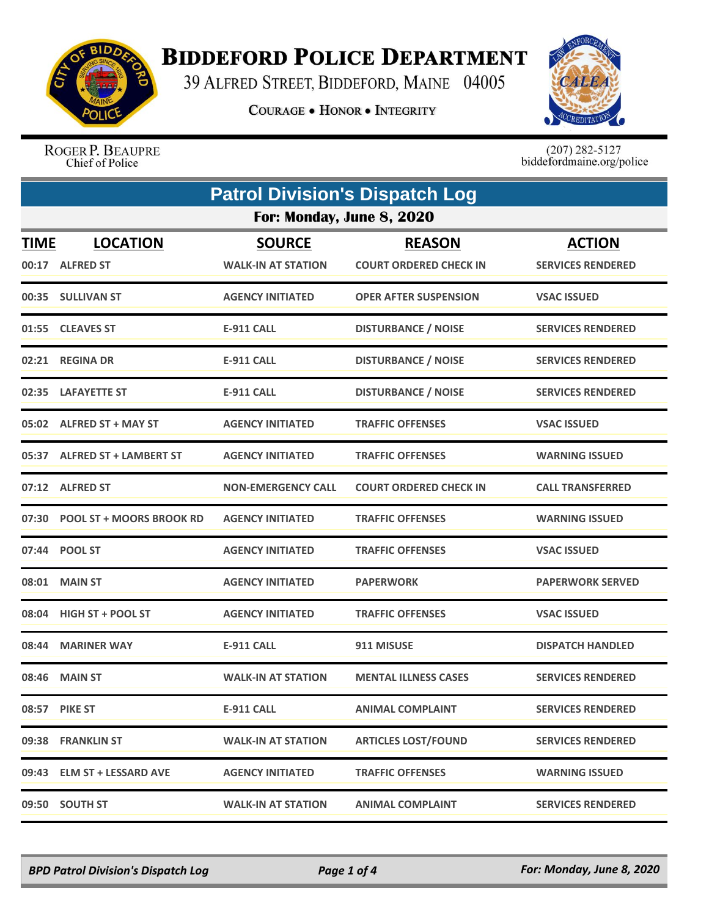

## **BIDDEFORD POLICE DEPARTMENT**

39 ALFRED STREET, BIDDEFORD, MAINE 04005

**COURAGE . HONOR . INTEGRITY** 



ROGER P. BEAUPRE Chief of Police

 $(207)$  282-5127<br>biddefordmaine.org/police

|             | <b>Patrol Division's Dispatch Log</b> |                                            |                                                |                                           |  |  |
|-------------|---------------------------------------|--------------------------------------------|------------------------------------------------|-------------------------------------------|--|--|
|             | For: Monday, June 8, 2020             |                                            |                                                |                                           |  |  |
| <b>TIME</b> | <b>LOCATION</b><br>00:17 ALFRED ST    | <b>SOURCE</b><br><b>WALK-IN AT STATION</b> | <b>REASON</b><br><b>COURT ORDERED CHECK IN</b> | <b>ACTION</b><br><b>SERVICES RENDERED</b> |  |  |
|             | 00:35 SULLIVAN ST                     | <b>AGENCY INITIATED</b>                    | <b>OPER AFTER SUSPENSION</b>                   | <b>VSAC ISSUED</b>                        |  |  |
|             | 01:55 CLEAVES ST                      | <b>E-911 CALL</b>                          | <b>DISTURBANCE / NOISE</b>                     | <b>SERVICES RENDERED</b>                  |  |  |
|             | 02:21 REGINA DR                       | <b>E-911 CALL</b>                          | <b>DISTURBANCE / NOISE</b>                     | <b>SERVICES RENDERED</b>                  |  |  |
| 02:35       | <b>LAFAYETTE ST</b>                   | <b>E-911 CALL</b>                          | <b>DISTURBANCE / NOISE</b>                     | <b>SERVICES RENDERED</b>                  |  |  |
|             | 05:02 ALFRED ST + MAY ST              | <b>AGENCY INITIATED</b>                    | <b>TRAFFIC OFFENSES</b>                        | <b>VSAC ISSUED</b>                        |  |  |
| 05:37       | <b>ALFRED ST + LAMBERT ST</b>         | <b>AGENCY INITIATED</b>                    | <b>TRAFFIC OFFENSES</b>                        | <b>WARNING ISSUED</b>                     |  |  |
| 07:12       | <b>ALFRED ST</b>                      | <b>NON-EMERGENCY CALL</b>                  | <b>COURT ORDERED CHECK IN</b>                  | <b>CALL TRANSFERRED</b>                   |  |  |
|             | 07:30 POOL ST + MOORS BROOK RD        | <b>AGENCY INITIATED</b>                    | <b>TRAFFIC OFFENSES</b>                        | <b>WARNING ISSUED</b>                     |  |  |
| 07:44       | <b>POOL ST</b>                        | <b>AGENCY INITIATED</b>                    | <b>TRAFFIC OFFENSES</b>                        | <b>VSAC ISSUED</b>                        |  |  |
| 08:01       | <b>MAIN ST</b>                        | <b>AGENCY INITIATED</b>                    | <b>PAPERWORK</b>                               | <b>PAPERWORK SERVED</b>                   |  |  |
| 08:04       | <b>HIGH ST + POOL ST</b>              | <b>AGENCY INITIATED</b>                    | <b>TRAFFIC OFFENSES</b>                        | <b>VSAC ISSUED</b>                        |  |  |
| 08:44       | <b>MARINER WAY</b>                    | <b>E-911 CALL</b>                          | 911 MISUSE                                     | <b>DISPATCH HANDLED</b>                   |  |  |
| 08:46       | <b>MAIN ST</b>                        | <b>WALK-IN AT STATION</b>                  | <b>MENTAL ILLNESS CASES</b>                    | <b>SERVICES RENDERED</b>                  |  |  |
| 08:57       | <b>PIKE ST</b>                        | <b>E-911 CALL</b>                          | <b>ANIMAL COMPLAINT</b>                        | <b>SERVICES RENDERED</b>                  |  |  |
|             | 09:38 FRANKLIN ST                     | WALK-IN AT STATION                         | <b>ARTICLES LOST/FOUND</b>                     | <b>SERVICES RENDERED</b>                  |  |  |
| 09:43       | <b>ELM ST + LESSARD AVE</b>           | <b>AGENCY INITIATED</b>                    | <b>TRAFFIC OFFENSES</b>                        | <b>WARNING ISSUED</b>                     |  |  |
|             | 09:50 SOUTH ST                        | <b>WALK-IN AT STATION</b>                  | <b>ANIMAL COMPLAINT</b>                        | <b>SERVICES RENDERED</b>                  |  |  |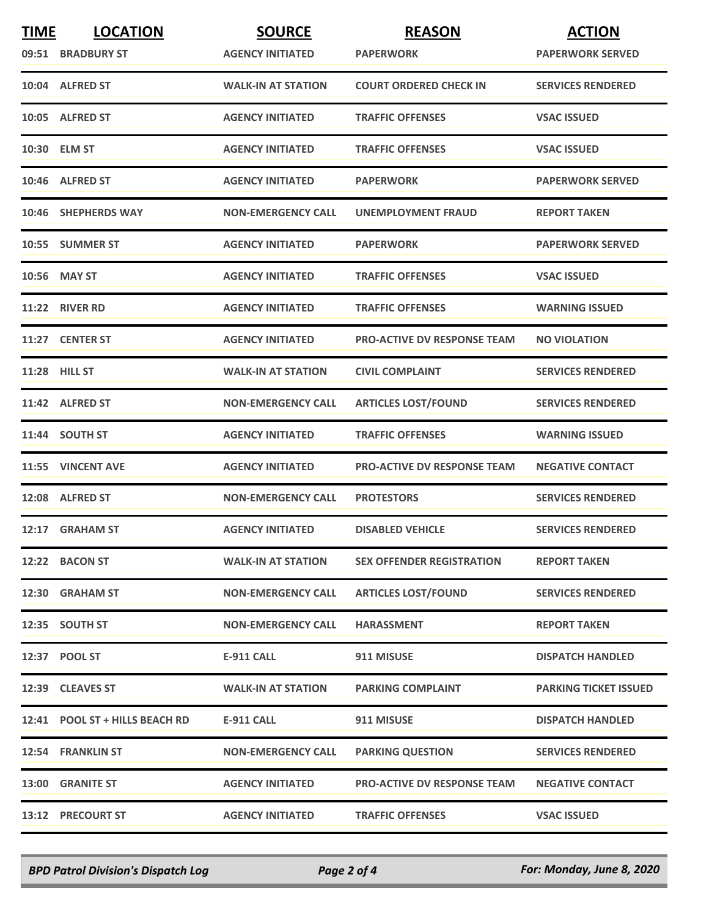| <b>TIME</b> | <b>LOCATION</b>                | <b>SOURCE</b>             | <b>REASON</b>                      | <b>ACTION</b>                |
|-------------|--------------------------------|---------------------------|------------------------------------|------------------------------|
|             | 09:51 BRADBURY ST              | <b>AGENCY INITIATED</b>   | <b>PAPERWORK</b>                   | <b>PAPERWORK SERVED</b>      |
|             | 10:04 ALFRED ST                | <b>WALK-IN AT STATION</b> | <b>COURT ORDERED CHECK IN</b>      | <b>SERVICES RENDERED</b>     |
|             | 10:05 ALFRED ST                | <b>AGENCY INITIATED</b>   | <b>TRAFFIC OFFENSES</b>            | <b>VSAC ISSUED</b>           |
|             | 10:30 ELM ST                   | <b>AGENCY INITIATED</b>   | <b>TRAFFIC OFFENSES</b>            | <b>VSAC ISSUED</b>           |
|             | 10:46 ALFRED ST                | <b>AGENCY INITIATED</b>   | <b>PAPERWORK</b>                   | <b>PAPERWORK SERVED</b>      |
|             | 10:46 SHEPHERDS WAY            | <b>NON-EMERGENCY CALL</b> | UNEMPLOYMENT FRAUD                 | <b>REPORT TAKEN</b>          |
|             | 10:55 SUMMER ST                | <b>AGENCY INITIATED</b>   | <b>PAPERWORK</b>                   | <b>PAPERWORK SERVED</b>      |
|             | 10:56 MAY ST                   | <b>AGENCY INITIATED</b>   | <b>TRAFFIC OFFENSES</b>            | <b>VSAC ISSUED</b>           |
|             | 11:22 RIVER RD                 | <b>AGENCY INITIATED</b>   | <b>TRAFFIC OFFENSES</b>            | <b>WARNING ISSUED</b>        |
| 11:27       | <b>CENTER ST</b>               | <b>AGENCY INITIATED</b>   | <b>PRO-ACTIVE DV RESPONSE TEAM</b> | <b>NO VIOLATION</b>          |
|             | <b>11:28 HILL ST</b>           | <b>WALK-IN AT STATION</b> | <b>CIVIL COMPLAINT</b>             | <b>SERVICES RENDERED</b>     |
|             | 11:42 ALFRED ST                | <b>NON-EMERGENCY CALL</b> | <b>ARTICLES LOST/FOUND</b>         | <b>SERVICES RENDERED</b>     |
|             | 11:44 SOUTH ST                 | <b>AGENCY INITIATED</b>   | <b>TRAFFIC OFFENSES</b>            | <b>WARNING ISSUED</b>        |
|             | 11:55 VINCENT AVE              | <b>AGENCY INITIATED</b>   | <b>PRO-ACTIVE DV RESPONSE TEAM</b> | <b>NEGATIVE CONTACT</b>      |
|             | 12:08 ALFRED ST                | <b>NON-EMERGENCY CALL</b> | <b>PROTESTORS</b>                  | <b>SERVICES RENDERED</b>     |
|             | 12:17 GRAHAM ST                | <b>AGENCY INITIATED</b>   | <b>DISABLED VEHICLE</b>            | <b>SERVICES RENDERED</b>     |
|             | 12:22 BACON ST                 | <b>WALK-IN AT STATION</b> | <b>SEX OFFENDER REGISTRATION</b>   | <b>REPORT TAKEN</b>          |
|             | 12:30 GRAHAM ST                | <b>NON-EMERGENCY CALL</b> | <b>ARTICLES LOST/FOUND</b>         | <b>SERVICES RENDERED</b>     |
|             | 12:35 SOUTH ST                 | <b>NON-EMERGENCY CALL</b> | <b>HARASSMENT</b>                  | <b>REPORT TAKEN</b>          |
|             | 12:37 POOL ST                  | <b>E-911 CALL</b>         | 911 MISUSE                         | <b>DISPATCH HANDLED</b>      |
|             | 12:39 CLEAVES ST               | <b>WALK-IN AT STATION</b> | <b>PARKING COMPLAINT</b>           | <b>PARKING TICKET ISSUED</b> |
|             | 12:41 POOL ST + HILLS BEACH RD | <b>E-911 CALL</b>         | 911 MISUSE                         | <b>DISPATCH HANDLED</b>      |
|             | 12:54 FRANKLIN ST              | <b>NON-EMERGENCY CALL</b> | <b>PARKING QUESTION</b>            | <b>SERVICES RENDERED</b>     |
|             | 13:00 GRANITE ST               | <b>AGENCY INITIATED</b>   | <b>PRO-ACTIVE DV RESPONSE TEAM</b> | <b>NEGATIVE CONTACT</b>      |
|             | 13:12 PRECOURT ST              | <b>AGENCY INITIATED</b>   | <b>TRAFFIC OFFENSES</b>            | <b>VSAC ISSUED</b>           |

*BPD Patrol Division's Dispatch Log Page 2 of 4 For: Monday, June 8, 2020*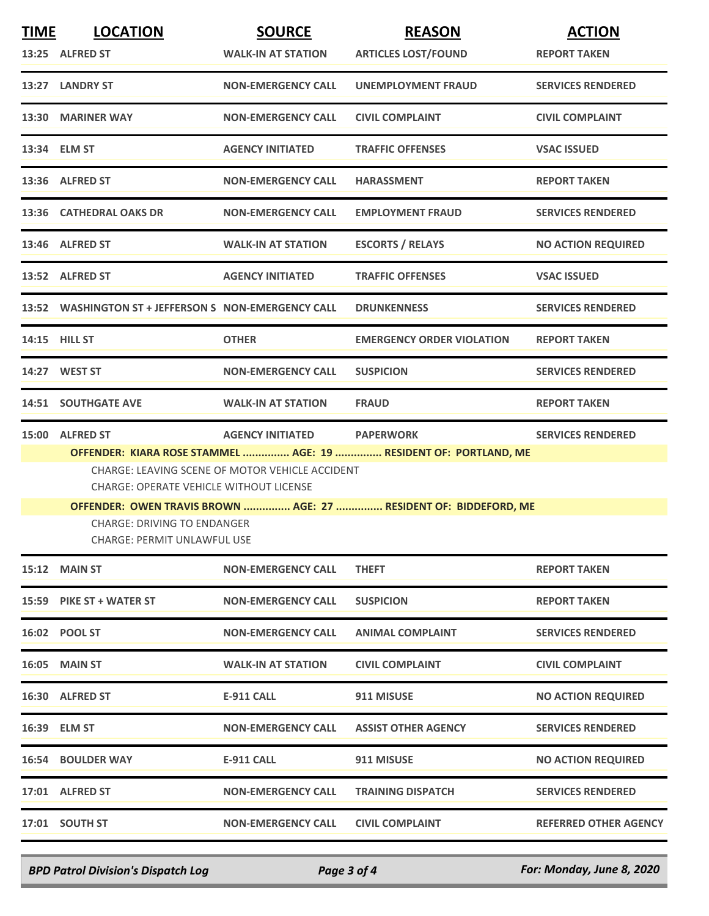| <b>TIME</b>                                                                                                                           | <b>LOCATION</b><br>13:25 ALFRED ST                                                                                                                                    | <b>SOURCE</b><br><b>WALK-IN AT STATION</b> | <b>REASON</b><br><b>ARTICLES LOST/FOUND</b> | <b>ACTION</b><br><b>REPORT TAKEN</b> |  |
|---------------------------------------------------------------------------------------------------------------------------------------|-----------------------------------------------------------------------------------------------------------------------------------------------------------------------|--------------------------------------------|---------------------------------------------|--------------------------------------|--|
|                                                                                                                                       | 13:27 LANDRY ST                                                                                                                                                       | <b>NON-EMERGENCY CALL</b>                  | UNEMPLOYMENT FRAUD                          | <b>SERVICES RENDERED</b>             |  |
|                                                                                                                                       | 13:30 MARINER WAY                                                                                                                                                     | <b>NON-EMERGENCY CALL</b>                  | <b>CIVIL COMPLAINT</b>                      | <b>CIVIL COMPLAINT</b>               |  |
|                                                                                                                                       | 13:34 ELM ST                                                                                                                                                          | <b>AGENCY INITIATED</b>                    | <b>TRAFFIC OFFENSES</b>                     | <b>VSAC ISSUED</b>                   |  |
|                                                                                                                                       | 13:36 ALFRED ST                                                                                                                                                       | <b>NON-EMERGENCY CALL</b>                  | <b>HARASSMENT</b>                           | <b>REPORT TAKEN</b>                  |  |
|                                                                                                                                       | 13:36 CATHEDRAL OAKS DR                                                                                                                                               | <b>NON-EMERGENCY CALL</b>                  | <b>EMPLOYMENT FRAUD</b>                     | <b>SERVICES RENDERED</b>             |  |
|                                                                                                                                       | 13:46 ALFRED ST                                                                                                                                                       | <b>WALK-IN AT STATION</b>                  | <b>ESCORTS / RELAYS</b>                     | <b>NO ACTION REQUIRED</b>            |  |
|                                                                                                                                       | 13:52 ALFRED ST                                                                                                                                                       | <b>AGENCY INITIATED</b>                    | <b>TRAFFIC OFFENSES</b>                     | <b>VSAC ISSUED</b>                   |  |
|                                                                                                                                       | 13:52 WASHINGTON ST + JEFFERSON S NON-EMERGENCY CALL                                                                                                                  |                                            | <b>DRUNKENNESS</b>                          | <b>SERVICES RENDERED</b>             |  |
|                                                                                                                                       | <b>14:15 HILL ST</b>                                                                                                                                                  | <b>OTHER</b>                               | <b>EMERGENCY ORDER VIOLATION</b>            | <b>REPORT TAKEN</b>                  |  |
|                                                                                                                                       | 14:27 WEST ST                                                                                                                                                         | <b>NON-EMERGENCY CALL</b>                  | <b>SUSPICION</b>                            | <b>SERVICES RENDERED</b>             |  |
|                                                                                                                                       | <b>14:51 SOUTHGATE AVE</b>                                                                                                                                            | <b>WALK-IN AT STATION</b>                  | <b>FRAUD</b>                                | <b>REPORT TAKEN</b>                  |  |
| 15:00                                                                                                                                 | <b>ALFRED ST</b>                                                                                                                                                      | <b>AGENCY INITIATED</b>                    | <b>PAPERWORK</b>                            | <b>SERVICES RENDERED</b>             |  |
|                                                                                                                                       | OFFENDER: KIARA ROSE STAMMEL  AGE: 19  RESIDENT OF: PORTLAND, ME<br>CHARGE: LEAVING SCENE OF MOTOR VEHICLE ACCIDENT<br><b>CHARGE: OPERATE VEHICLE WITHOUT LICENSE</b> |                                            |                                             |                                      |  |
| OFFENDER: OWEN TRAVIS BROWN  AGE: 27  RESIDENT OF: BIDDEFORD, ME<br><b>CHARGE: DRIVING TO ENDANGER</b><br>CHARGE: PERMIT UNLAWFUL USE |                                                                                                                                                                       |                                            |                                             |                                      |  |
|                                                                                                                                       | <b>15:12 MAIN ST</b>                                                                                                                                                  | <b>NON-EMERGENCY CALL</b>                  | <b>THEFT</b>                                | <b>REPORT TAKEN</b>                  |  |
|                                                                                                                                       | 15:59 PIKE ST + WATER ST                                                                                                                                              | <b>NON-EMERGENCY CALL</b>                  | <b>SUSPICION</b>                            | <b>REPORT TAKEN</b>                  |  |
|                                                                                                                                       | 16:02 POOL ST                                                                                                                                                         | <b>NON-EMERGENCY CALL</b>                  | <b>ANIMAL COMPLAINT</b>                     | <b>SERVICES RENDERED</b>             |  |
|                                                                                                                                       | <b>16:05 MAIN ST</b>                                                                                                                                                  | <b>WALK-IN AT STATION</b>                  | <b>CIVIL COMPLAINT</b>                      | <b>CIVIL COMPLAINT</b>               |  |
|                                                                                                                                       | 16:30 ALFRED ST                                                                                                                                                       | E-911 CALL                                 | 911 MISUSE                                  | <b>NO ACTION REQUIRED</b>            |  |
|                                                                                                                                       | 16:39 ELM ST                                                                                                                                                          | <b>NON-EMERGENCY CALL</b>                  | <b>ASSIST OTHER AGENCY</b>                  | <b>SERVICES RENDERED</b>             |  |
|                                                                                                                                       | <b>16:54 BOULDER WAY</b>                                                                                                                                              | E-911 CALL                                 | 911 MISUSE                                  | <b>NO ACTION REQUIRED</b>            |  |
|                                                                                                                                       | 17:01 ALFRED ST                                                                                                                                                       | <b>NON-EMERGENCY CALL</b>                  | <b>TRAINING DISPATCH</b>                    | <b>SERVICES RENDERED</b>             |  |
|                                                                                                                                       | 17:01 SOUTH ST                                                                                                                                                        | <b>NON-EMERGENCY CALL</b>                  | <b>CIVIL COMPLAINT</b>                      | <b>REFERRED OTHER AGENCY</b>         |  |
|                                                                                                                                       |                                                                                                                                                                       |                                            |                                             |                                      |  |

*BPD Patrol Division's Dispatch Log Page 3 of 4 For: Monday, June 8, 2020*